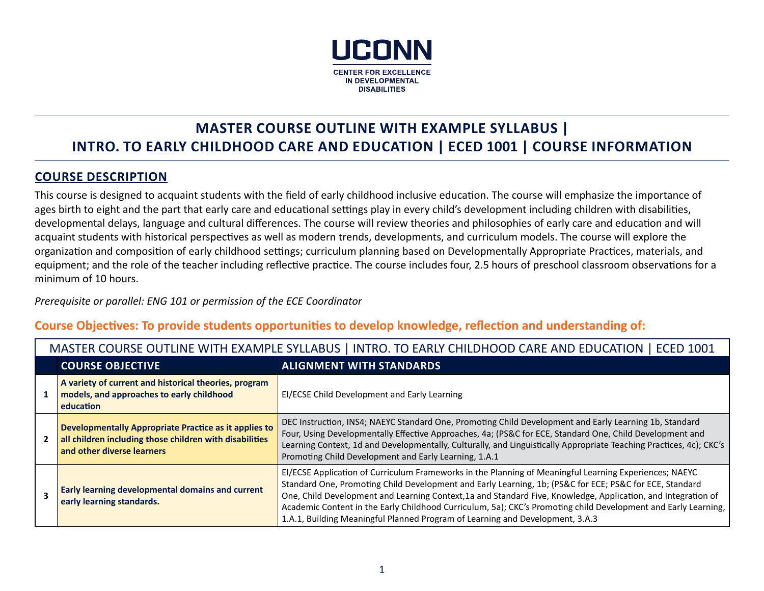

# **MASTER COURSE OUTLINE WITH EXAMPLE SYLLABUS | INTRO. TO EARLY CHILDHOOD CARE AND EDUCATION | ECED 1001 | COURSE INFORMATION**

## **COURSE DESCRIPTION**

This course is designed to acquaint students with the field of early childhood inclusive education. The course will emphasize the importance of ages birth to eight and the part that early care and educational settings play in every child's development including children with disabilities, developmental delays, language and cultural differences. The course will review theories and philosophies of early care and education and will acquaint students with historical perspectives as well as modern trends, developments, and curriculum models. The course will explore the organization and composition of early childhood settings; curriculum planning based on Developmentally Appropriate Practices, materials, and equipment; and the role of the teacher including reflective practice. The course includes four, 2.5 hours of preschool classroom observations for a minimum of 10 hours.

#### *Prerequisite or parallel: ENG 101 or permission of the ECE Coordinator*

## **Course Objectives: To provide students opportunities to develop knowledge, reflection and understanding of:**

| בעטבים ובה כסטוטב סט ובחזב מזוחו בהתומח בב טובבתוסט ן ווזוחס. וט בתהבו כחובו ווטטו כתווב תחום במטכתווטוז ן בכבו                                |                                                                                                                                                                                                                                                                                                                                                                                                                                                                                                                                       |  |  |  |
|------------------------------------------------------------------------------------------------------------------------------------------------|---------------------------------------------------------------------------------------------------------------------------------------------------------------------------------------------------------------------------------------------------------------------------------------------------------------------------------------------------------------------------------------------------------------------------------------------------------------------------------------------------------------------------------------|--|--|--|
| <b>COURSE OBJECTIVE</b>                                                                                                                        | <b>ALIGNMENT WITH STANDARDS</b>                                                                                                                                                                                                                                                                                                                                                                                                                                                                                                       |  |  |  |
| A variety of current and historical theories, program<br>models, and approaches to early childhood<br>education                                | EI/ECSE Child Development and Early Learning                                                                                                                                                                                                                                                                                                                                                                                                                                                                                          |  |  |  |
| Developmentally Appropriate Practice as it applies to<br>all children including those children with disabilities<br>and other diverse learners | DEC Instruction, INS4; NAEYC Standard One, Promoting Child Development and Early Learning 1b, Standard<br>Four, Using Developmentally Effective Approaches, 4a; (PS&C for ECE, Standard One, Child Development and<br>Learning Context, 1d and Developmentally, Culturally, and Linguistically Appropriate Teaching Practices, 4c); CKC's<br>Promoting Child Development and Early Learning, 1.A.1                                                                                                                                    |  |  |  |
| Early learning developmental domains and current<br>early learning standards.                                                                  | EI/ECSE Application of Curriculum Frameworks in the Planning of Meaningful Learning Experiences; NAEYC<br>Standard One, Promoting Child Development and Early Learning, 1b; (PS&C for ECE; PS&C for ECE, Standard<br>One, Child Development and Learning Context, 1a and Standard Five, Knowledge, Application, and Integration of<br>Academic Content in the Early Childhood Curriculum, 5a); CKC's Promoting child Development and Early Learning,<br>1.A.1, Building Meaningful Planned Program of Learning and Development, 3.A.3 |  |  |  |

MASTER COURSE OUTLINE WITH EXAMPLE SYLLABUS | INTRO. TO EARLY CHILDHOOD CARE AND EDUCATION | ECED 1001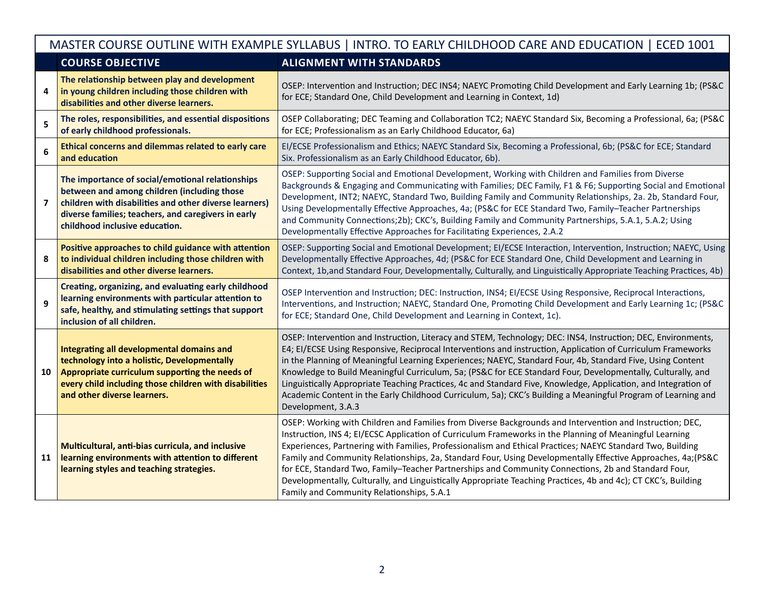|    | MASTER COURSE OUTLINE WITH EXAMPLE SYLLABUS   INTRO. TO EARLY CHILDHOOD CARE AND EDUCATION   ECED 1001                                                                                                                                             |                                                                                                                                                                                                                                                                                                                                                                                                                                                                                                                                                                                                                                                                                                                         |  |  |  |
|----|----------------------------------------------------------------------------------------------------------------------------------------------------------------------------------------------------------------------------------------------------|-------------------------------------------------------------------------------------------------------------------------------------------------------------------------------------------------------------------------------------------------------------------------------------------------------------------------------------------------------------------------------------------------------------------------------------------------------------------------------------------------------------------------------------------------------------------------------------------------------------------------------------------------------------------------------------------------------------------------|--|--|--|
|    | <b>COURSE OBJECTIVE</b>                                                                                                                                                                                                                            | <b>ALIGNMENT WITH STANDARDS</b>                                                                                                                                                                                                                                                                                                                                                                                                                                                                                                                                                                                                                                                                                         |  |  |  |
| 4  | The relationship between play and development<br>in young children including those children with<br>disabilities and other diverse learners.                                                                                                       | OSEP: Intervention and Instruction; DEC INS4; NAEYC Promoting Child Development and Early Learning 1b; (PS&C<br>for ECE; Standard One, Child Development and Learning in Context, 1d)                                                                                                                                                                                                                                                                                                                                                                                                                                                                                                                                   |  |  |  |
| 5  | The roles, responsibilities, and essential dispositions<br>of early childhood professionals.                                                                                                                                                       | OSEP Collaborating; DEC Teaming and Collaboration TC2; NAEYC Standard Six, Becoming a Professional, 6a; (PS&C<br>for ECE; Professionalism as an Early Childhood Educator, 6a)                                                                                                                                                                                                                                                                                                                                                                                                                                                                                                                                           |  |  |  |
| 6  | Ethical concerns and dilemmas related to early care<br>and education                                                                                                                                                                               | EI/ECSE Professionalism and Ethics; NAEYC Standard Six, Becoming a Professional, 6b; (PS&C for ECE; Standard<br>Six. Professionalism as an Early Childhood Educator, 6b).                                                                                                                                                                                                                                                                                                                                                                                                                                                                                                                                               |  |  |  |
| 7  | The importance of social/emotional relationships<br>between and among children (including those<br>children with disabilities and other diverse learners)<br>diverse families; teachers, and caregivers in early<br>childhood inclusive education. | OSEP: Supporting Social and Emotional Development, Working with Children and Families from Diverse<br>Backgrounds & Engaging and Communicating with Families; DEC Family, F1 & F6; Supporting Social and Emotional<br>Development, INT2; NAEYC, Standard Two, Building Family and Community Relationships, 2a. 2b, Standard Four,<br>Using Developmentally Effective Approaches, 4a; (PS&C for ECE Standard Two, Family-Teacher Partnerships<br>and Community Connections;2b); CKC's, Building Family and Community Partnerships, 5.A.1, 5.A.2; Using<br>Developmentally Effective Approaches for Facilitating Experiences, 2.A.2                                                                                       |  |  |  |
| 8  | Positive approaches to child guidance with attention<br>to individual children including those children with<br>disabilities and other diverse learners.                                                                                           | OSEP: Supporting Social and Emotional Development; EI/ECSE Interaction, Intervention, Instruction; NAEYC, Using<br>Developmentally Effective Approaches, 4d; (PS&C for ECE Standard One, Child Development and Learning in<br>Context, 1b, and Standard Four, Developmentally, Culturally, and Linguistically Appropriate Teaching Practices, 4b)                                                                                                                                                                                                                                                                                                                                                                       |  |  |  |
| 9  | Creating, organizing, and evaluating early childhood<br>learning environments with particular attention to<br>safe, healthy, and stimulating settings that support<br>inclusion of all children.                                                   | OSEP Intervention and Instruction; DEC: Instruction, INS4; EI/ECSE Using Responsive, Reciprocal Interactions,<br>Interventions, and Instruction; NAEYC, Standard One, Promoting Child Development and Early Learning 1c; (PS&C<br>for ECE; Standard One, Child Development and Learning in Context, 1c).                                                                                                                                                                                                                                                                                                                                                                                                                |  |  |  |
| 10 | Integrating all developmental domains and<br>technology into a holistic, Developmentally<br>Appropriate curriculum supporting the needs of<br>every child including those children with disabilities<br>and other diverse learners.                | OSEP: Intervention and Instruction, Literacy and STEM, Technology; DEC: INS4, Instruction; DEC, Environments,<br>E4; EI/ECSE Using Responsive, Reciprocal Interventions and instruction, Application of Curriculum Frameworks<br>in the Planning of Meaningful Learning Experiences; NAEYC, Standard Four, 4b, Standard Five, Using Content<br>Knowledge to Build Meaningful Curriculum, 5a; (PS&C for ECE Standard Four, Developmentally, Culturally, and<br>Linguistically Appropriate Teaching Practices, 4c and Standard Five, Knowledge, Application, and Integration of<br>Academic Content in the Early Childhood Curriculum, 5a); CKC's Building a Meaningful Program of Learning and<br>Development, 3.A.3     |  |  |  |
| 11 | Multicultural, anti-bias curricula, and inclusive<br>learning environments with attention to different<br>learning styles and teaching strategies.                                                                                                 | OSEP: Working with Children and Families from Diverse Backgrounds and Intervention and Instruction; DEC,<br>Instruction, INS 4; EI/ECSC Application of Curriculum Frameworks in the Planning of Meaningful Learning<br>Experiences, Partnering with Families, Professionalism and Ethical Practices; NAEYC Standard Two, Building<br>Family and Community Relationships, 2a, Standard Four, Using Developmentally Effective Approaches, 4a; (PS&C<br>for ECE, Standard Two, Family-Teacher Partnerships and Community Connections, 2b and Standard Four,<br>Developmentally, Culturally, and Linguistically Appropriate Teaching Practices, 4b and 4c); CT CKC's, Building<br>Family and Community Relationships, 5.A.1 |  |  |  |

 $\mathbf{I}$ 

Г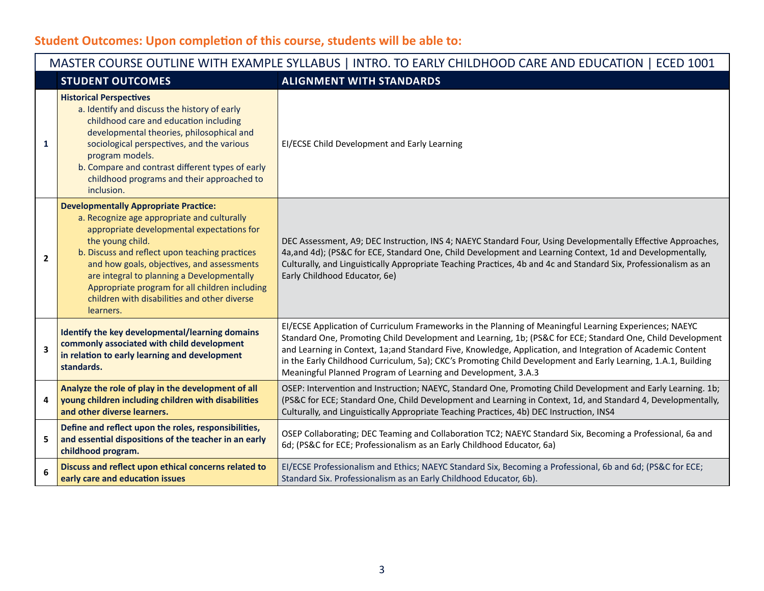## **Student Outcomes: Upon completion of this course, students will be able to:**

|                | MASTER COURSE OUTLINE WITH EXAMPLE SYLLABUS   INTRO. TO EARLY CHILDHOOD CARE AND EDUCATION   ECED 1001                                                                                                                                                                                                                                                                                                                     |                                                                                                                                                                                                                                                                                                                                                                                                                                                                                                                      |  |  |  |
|----------------|----------------------------------------------------------------------------------------------------------------------------------------------------------------------------------------------------------------------------------------------------------------------------------------------------------------------------------------------------------------------------------------------------------------------------|----------------------------------------------------------------------------------------------------------------------------------------------------------------------------------------------------------------------------------------------------------------------------------------------------------------------------------------------------------------------------------------------------------------------------------------------------------------------------------------------------------------------|--|--|--|
|                | <b>STUDENT OUTCOMES</b>                                                                                                                                                                                                                                                                                                                                                                                                    | <b>ALIGNMENT WITH STANDARDS</b>                                                                                                                                                                                                                                                                                                                                                                                                                                                                                      |  |  |  |
| 1              | <b>Historical Perspectives</b><br>a. Identify and discuss the history of early<br>childhood care and education including<br>developmental theories, philosophical and<br>sociological perspectives, and the various<br>program models.<br>b. Compare and contrast different types of early<br>childhood programs and their approached to<br>inclusion.                                                                     | EI/ECSE Child Development and Early Learning                                                                                                                                                                                                                                                                                                                                                                                                                                                                         |  |  |  |
| $\overline{2}$ | <b>Developmentally Appropriate Practice:</b><br>a. Recognize age appropriate and culturally<br>appropriate developmental expectations for<br>the young child.<br>b. Discuss and reflect upon teaching practices<br>and how goals, objectives, and assessments<br>are integral to planning a Developmentally<br>Appropriate program for all children including<br>children with disabilities and other diverse<br>learners. | DEC Assessment, A9; DEC Instruction, INS 4; NAEYC Standard Four, Using Developmentally Effective Approaches,<br>4a, and 4d); (PS&C for ECE, Standard One, Child Development and Learning Context, 1d and Developmentally,<br>Culturally, and Linguistically Appropriate Teaching Practices, 4b and 4c and Standard Six, Professionalism as an<br>Early Childhood Educator, 6e)                                                                                                                                       |  |  |  |
| 3              | Identify the key developmental/learning domains<br>commonly associated with child development<br>in relation to early learning and development<br>standards.                                                                                                                                                                                                                                                               | EI/ECSE Application of Curriculum Frameworks in the Planning of Meaningful Learning Experiences; NAEYC<br>Standard One, Promoting Child Development and Learning, 1b; (PS&C for ECE; Standard One, Child Development<br>and Learning in Context, 1a;and Standard Five, Knowledge, Application, and Integration of Academic Content<br>in the Early Childhood Curriculum, 5a); CKC's Promoting Child Development and Early Learning, 1.A.1, Building<br>Meaningful Planned Program of Learning and Development, 3.A.3 |  |  |  |
| 4              | Analyze the role of play in the development of all<br>young children including children with disabilities<br>and other diverse learners.                                                                                                                                                                                                                                                                                   | OSEP: Intervention and Instruction; NAEYC, Standard One, Promoting Child Development and Early Learning. 1b;<br>(PS&C for ECE; Standard One, Child Development and Learning in Context, 1d, and Standard 4, Developmentally,<br>Culturally, and Linguistically Appropriate Teaching Practices, 4b) DEC Instruction, INS4                                                                                                                                                                                             |  |  |  |
| 5              | Define and reflect upon the roles, responsibilities,<br>and essential dispositions of the teacher in an early<br>childhood program.                                                                                                                                                                                                                                                                                        | OSEP Collaborating; DEC Teaming and Collaboration TC2; NAEYC Standard Six, Becoming a Professional, 6a and<br>6d; (PS&C for ECE; Professionalism as an Early Childhood Educator, 6a)                                                                                                                                                                                                                                                                                                                                 |  |  |  |
| 6              | Discuss and reflect upon ethical concerns related to<br>early care and education issues                                                                                                                                                                                                                                                                                                                                    | EI/ECSE Professionalism and Ethics; NAEYC Standard Six, Becoming a Professional, 6b and 6d; (PS&C for ECE;<br>Standard Six. Professionalism as an Early Childhood Educator, 6b).                                                                                                                                                                                                                                                                                                                                     |  |  |  |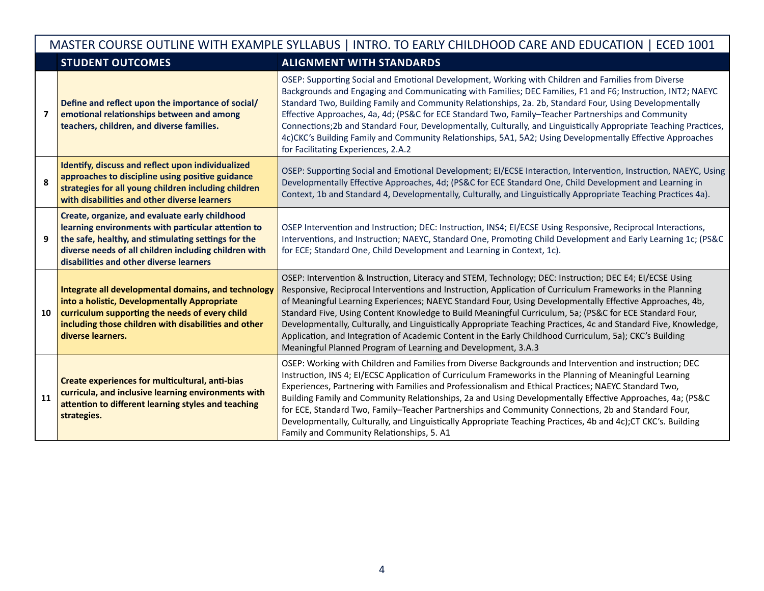|                         | MASTER COURSE OUTLINE WITH EXAMPLE SYLLABUS   INTRO. TO EARLY CHILDHOOD CARE AND EDUCATION   ECED 1001                                                                                                                                                          |                                                                                                                                                                                                                                                                                                                                                                                                                                                                                                                                                                                                                                                                                                                                               |  |  |  |
|-------------------------|-----------------------------------------------------------------------------------------------------------------------------------------------------------------------------------------------------------------------------------------------------------------|-----------------------------------------------------------------------------------------------------------------------------------------------------------------------------------------------------------------------------------------------------------------------------------------------------------------------------------------------------------------------------------------------------------------------------------------------------------------------------------------------------------------------------------------------------------------------------------------------------------------------------------------------------------------------------------------------------------------------------------------------|--|--|--|
|                         | <b>STUDENT OUTCOMES</b>                                                                                                                                                                                                                                         | <b>ALIGNMENT WITH STANDARDS</b>                                                                                                                                                                                                                                                                                                                                                                                                                                                                                                                                                                                                                                                                                                               |  |  |  |
| $\overline{\mathbf{z}}$ | Define and reflect upon the importance of social/<br>emotional relationships between and among<br>teachers, children, and diverse families.                                                                                                                     | OSEP: Supporting Social and Emotional Development, Working with Children and Families from Diverse<br>Backgrounds and Engaging and Communicating with Families; DEC Families, F1 and F6; Instruction, INT2; NAEYC<br>Standard Two, Building Family and Community Relationships, 2a. 2b, Standard Four, Using Developmentally<br>Effective Approaches, 4a, 4d; (PS&C for ECE Standard Two, Family-Teacher Partnerships and Community<br>Connections; 2b and Standard Four, Developmentally, Culturally, and Linguistically Appropriate Teaching Practices,<br>4c)CKC's Building Family and Community Relationships, 5A1, 5A2; Using Developmentally Effective Approaches<br>for Facilitating Experiences, 2.A.2                                |  |  |  |
| 8                       | Identify, discuss and reflect upon individualized<br>approaches to discipline using positive guidance<br>strategies for all young children including children<br>with disabilities and other diverse learners                                                   | OSEP: Supporting Social and Emotional Development; EI/ECSE Interaction, Intervention, Instruction, NAEYC, Using<br>Developmentally Effective Approaches, 4d; (PS&C for ECE Standard One, Child Development and Learning in<br>Context, 1b and Standard 4, Developmentally, Culturally, and Linguistically Appropriate Teaching Practices 4a).                                                                                                                                                                                                                                                                                                                                                                                                 |  |  |  |
| 9                       | Create, organize, and evaluate early childhood<br>learning environments with particular attention to<br>the safe, healthy, and stimulating settings for the<br>diverse needs of all children including children with<br>disabilities and other diverse learners | OSEP Intervention and Instruction; DEC: Instruction, INS4; EI/ECSE Using Responsive, Reciprocal Interactions,<br>Interventions, and Instruction; NAEYC, Standard One, Promoting Child Development and Early Learning 1c; (PS&C<br>for ECE; Standard One, Child Development and Learning in Context, 1c).                                                                                                                                                                                                                                                                                                                                                                                                                                      |  |  |  |
| 10                      | Integrate all developmental domains, and technology<br>into a holistic, Developmentally Appropriate<br>curriculum supporting the needs of every child<br>including those children with disabilities and other<br>diverse learners.                              | OSEP: Intervention & Instruction, Literacy and STEM, Technology; DEC: Instruction; DEC E4; EI/ECSE Using<br>Responsive, Reciprocal Interventions and Instruction, Application of Curriculum Frameworks in the Planning<br>of Meaningful Learning Experiences; NAEYC Standard Four, Using Developmentally Effective Approaches, 4b,<br>Standard Five, Using Content Knowledge to Build Meaningful Curriculum, 5a; (PS&C for ECE Standard Four,<br>Developmentally, Culturally, and Linguistically Appropriate Teaching Practices, 4c and Standard Five, Knowledge,<br>Application, and Integration of Academic Content in the Early Childhood Curriculum, 5a); CKC's Building<br>Meaningful Planned Program of Learning and Development, 3.A.3 |  |  |  |
| 11                      | Create experiences for multicultural, anti-bias<br>curricula, and inclusive learning environments with<br>attention to different learning styles and teaching<br>strategies.                                                                                    | OSEP: Working with Children and Families from Diverse Backgrounds and Intervention and instruction; DEC<br>Instruction, INS 4; EI/ECSC Application of Curriculum Frameworks in the Planning of Meaningful Learning<br>Experiences, Partnering with Families and Professionalism and Ethical Practices; NAEYC Standard Two,<br>Building Family and Community Relationships, 2a and Using Developmentally Effective Approaches, 4a; (PS&C<br>for ECE, Standard Two, Family-Teacher Partnerships and Community Connections, 2b and Standard Four,<br>Developmentally, Culturally, and Linguistically Appropriate Teaching Practices, 4b and 4c);CT CKC's. Building<br>Family and Community Relationships, 5. A1                                  |  |  |  |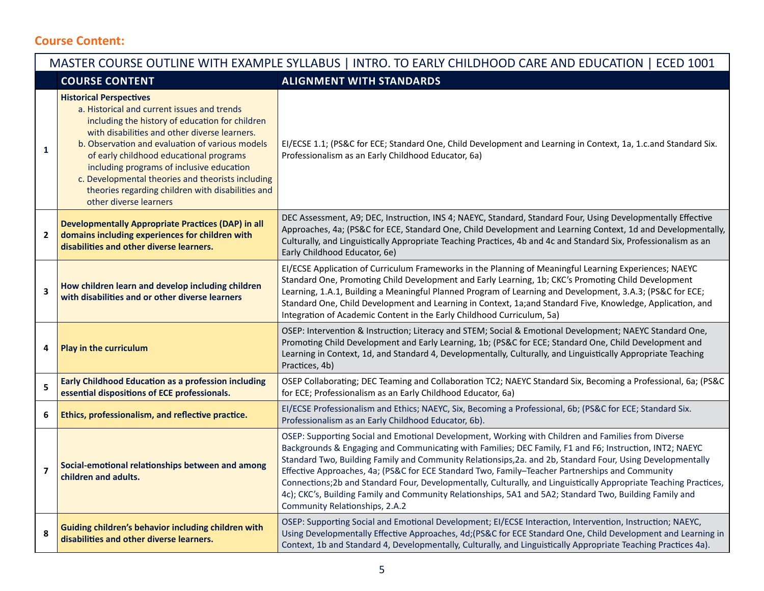## **Course Content:**

|                | MASTER COURSE OUTLINE WITH EXAMPLE SYLLABUS   INTRO. TO EARLY CHILDHOOD CARE AND EDUCATION   ECED 1001                                                                                                                                                                                                                                                                                                                                                           |                                                                                                                                                                                                                                                                                                                                                                                                                                                                                                                                                                                                                                                                                                   |  |  |  |
|----------------|------------------------------------------------------------------------------------------------------------------------------------------------------------------------------------------------------------------------------------------------------------------------------------------------------------------------------------------------------------------------------------------------------------------------------------------------------------------|---------------------------------------------------------------------------------------------------------------------------------------------------------------------------------------------------------------------------------------------------------------------------------------------------------------------------------------------------------------------------------------------------------------------------------------------------------------------------------------------------------------------------------------------------------------------------------------------------------------------------------------------------------------------------------------------------|--|--|--|
|                | <b>COURSE CONTENT</b>                                                                                                                                                                                                                                                                                                                                                                                                                                            | <b>ALIGNMENT WITH STANDARDS</b>                                                                                                                                                                                                                                                                                                                                                                                                                                                                                                                                                                                                                                                                   |  |  |  |
| 1              | <b>Historical Perspectives</b><br>a. Historical and current issues and trends<br>including the history of education for children<br>with disabilities and other diverse learners.<br>b. Observation and evaluation of various models<br>of early childhood educational programs<br>including programs of inclusive education<br>c. Developmental theories and theorists including<br>theories regarding children with disabilities and<br>other diverse learners | EI/ECSE 1.1; (PS&C for ECE; Standard One, Child Development and Learning in Context, 1a, 1.c.and Standard Six.<br>Professionalism as an Early Childhood Educator, 6a)                                                                                                                                                                                                                                                                                                                                                                                                                                                                                                                             |  |  |  |
| $\mathbf{2}$   | <b>Developmentally Appropriate Practices (DAP) in all</b><br>domains including experiences for children with<br>disabilities and other diverse learners.                                                                                                                                                                                                                                                                                                         | DEC Assessment, A9; DEC, Instruction, INS 4; NAEYC, Standard, Standard Four, Using Developmentally Effective<br>Approaches, 4a; (PS&C for ECE, Standard One, Child Development and Learning Context, 1d and Developmentally,<br>Culturally, and Linguistically Appropriate Teaching Practices, 4b and 4c and Standard Six, Professionalism as an<br>Early Childhood Educator, 6e)                                                                                                                                                                                                                                                                                                                 |  |  |  |
| 3              | How children learn and develop including children<br>with disabilities and or other diverse learners                                                                                                                                                                                                                                                                                                                                                             | EI/ECSE Application of Curriculum Frameworks in the Planning of Meaningful Learning Experiences; NAEYC<br>Standard One, Promoting Child Development and Early Learning, 1b; CKC's Promoting Child Development<br>Learning, 1.A.1, Building a Meaningful Planned Program of Learning and Development, 3.A.3; (PS&C for ECE;<br>Standard One, Child Development and Learning in Context, 1a;and Standard Five, Knowledge, Application, and<br>Integration of Academic Content in the Early Childhood Curriculum, 5a)                                                                                                                                                                                |  |  |  |
| 4              | Play in the curriculum                                                                                                                                                                                                                                                                                                                                                                                                                                           | OSEP: Intervention & Instruction; Literacy and STEM; Social & Emotional Development; NAEYC Standard One,<br>Promoting Child Development and Early Learning, 1b; (PS&C for ECE; Standard One, Child Development and<br>Learning in Context, 1d, and Standard 4, Developmentally, Culturally, and Linguistically Appropriate Teaching<br>Practices, 4b)                                                                                                                                                                                                                                                                                                                                             |  |  |  |
| 5              | <b>Early Childhood Education as a profession including</b><br>essential dispositions of ECE professionals.                                                                                                                                                                                                                                                                                                                                                       | OSEP Collaborating; DEC Teaming and Collaboration TC2; NAEYC Standard Six, Becoming a Professional, 6a; (PS&C<br>for ECE; Professionalism as an Early Childhood Educator, 6a)                                                                                                                                                                                                                                                                                                                                                                                                                                                                                                                     |  |  |  |
| 6              | Ethics, professionalism, and reflective practice.                                                                                                                                                                                                                                                                                                                                                                                                                | EI/ECSE Professionalism and Ethics; NAEYC, Six, Becoming a Professional, 6b; (PS&C for ECE; Standard Six.<br>Professionalism as an Early Childhood Educator, 6b).                                                                                                                                                                                                                                                                                                                                                                                                                                                                                                                                 |  |  |  |
| $\overline{7}$ | Social-emotional relationships between and among<br>children and adults.                                                                                                                                                                                                                                                                                                                                                                                         | OSEP: Supporting Social and Emotional Development, Working with Children and Families from Diverse<br>Backgrounds & Engaging and Communicating with Families; DEC Family, F1 and F6; Instruction, INT2; NAEYC<br>Standard Two, Building Family and Community Relationsips, 2a. and 2b, Standard Four, Using Developmentally<br>Effective Approaches, 4a; (PS&C for ECE Standard Two, Family-Teacher Partnerships and Community<br>Connections; 2b and Standard Four, Developmentally, Culturally, and Linguistically Appropriate Teaching Practices,<br>4c); CKC's, Building Family and Community Relationships, 5A1 and 5A2; Standard Two, Building Family and<br>Community Relationships, 2.A.2 |  |  |  |
| 8              | Guiding children's behavior including children with<br>disabilities and other diverse learners.                                                                                                                                                                                                                                                                                                                                                                  | OSEP: Supporting Social and Emotional Development; EI/ECSE Interaction, Intervention, Instruction; NAEYC,<br>Using Developmentally Effective Approaches, 4d; (PS&C for ECE Standard One, Child Development and Learning in<br>Context, 1b and Standard 4, Developmentally, Culturally, and Linguistically Appropriate Teaching Practices 4a).                                                                                                                                                                                                                                                                                                                                                     |  |  |  |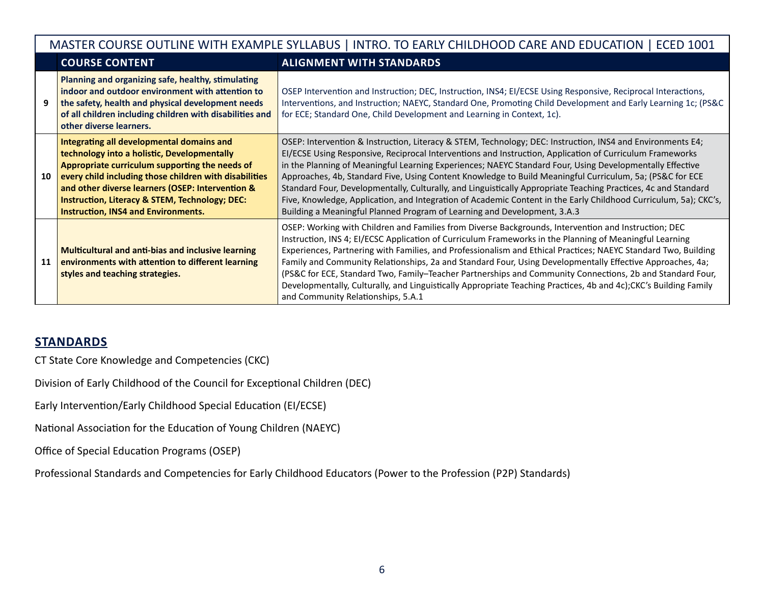|    | MASTER COURSE OUTLINE WITH EXAMPLE SYLLABUS   INTRO. TO EARLY CHILDHOOD CARE AND EDUCATION   ECED 1001                                                                                                                                                                                                                                                              |                                                                                                                                                                                                                                                                                                                                                                                                                                                                                                                                                                                                                                                                                                                                                                  |  |  |  |
|----|---------------------------------------------------------------------------------------------------------------------------------------------------------------------------------------------------------------------------------------------------------------------------------------------------------------------------------------------------------------------|------------------------------------------------------------------------------------------------------------------------------------------------------------------------------------------------------------------------------------------------------------------------------------------------------------------------------------------------------------------------------------------------------------------------------------------------------------------------------------------------------------------------------------------------------------------------------------------------------------------------------------------------------------------------------------------------------------------------------------------------------------------|--|--|--|
|    | <b>COURSE CONTENT</b>                                                                                                                                                                                                                                                                                                                                               | <b>ALIGNMENT WITH STANDARDS</b>                                                                                                                                                                                                                                                                                                                                                                                                                                                                                                                                                                                                                                                                                                                                  |  |  |  |
|    | Planning and organizing safe, healthy, stimulating<br>indoor and outdoor environment with attention to<br>the safety, health and physical development needs<br>of all children including children with disabilities and<br>other diverse learners.                                                                                                                  | OSEP Intervention and Instruction; DEC, Instruction, INS4; El/ECSE Using Responsive, Reciprocal Interactions,<br>Interventions, and Instruction; NAEYC, Standard One, Promoting Child Development and Early Learning 1c; (PS&C<br>for ECE; Standard One, Child Development and Learning in Context, 1c).                                                                                                                                                                                                                                                                                                                                                                                                                                                         |  |  |  |
| 10 | Integrating all developmental domains and<br>technology into a holistic, Developmentally<br>Appropriate curriculum supporting the needs of<br>every child including those children with disabilities<br>and other diverse learners (OSEP: Intervention &<br><b>Instruction, Literacy &amp; STEM, Technology; DEC:</b><br><b>Instruction, INS4 and Environments.</b> | OSEP: Intervention & Instruction, Literacy & STEM, Technology; DEC: Instruction, INS4 and Environments E4;<br>EI/ECSE Using Responsive, Reciprocal Interventions and Instruction, Application of Curriculum Frameworks<br>in the Planning of Meaningful Learning Experiences; NAEYC Standard Four, Using Developmentally Effective<br>Approaches, 4b, Standard Five, Using Content Knowledge to Build Meaningful Curriculum, 5a; (PS&C for ECE<br>Standard Four, Developmentally, Culturally, and Linguistically Appropriate Teaching Practices, 4c and Standard<br>Five, Knowledge, Application, and Integration of Academic Content in the Early Childhood Curriculum, 5a); CKC's,<br>Building a Meaningful Planned Program of Learning and Development, 3.A.3 |  |  |  |
| 11 | <b>Multicultural and anti-bias and inclusive learning</b><br>environments with attention to different learning<br>styles and teaching strategies.                                                                                                                                                                                                                   | OSEP: Working with Children and Families from Diverse Backgrounds, Intervention and Instruction; DEC<br>Instruction, INS 4; EI/ECSC Application of Curriculum Frameworks in the Planning of Meaningful Learning<br>Experiences, Partnering with Families, and Professionalism and Ethical Practices; NAEYC Standard Two, Building<br>Family and Community Relationships, 2a and Standard Four, Using Developmentally Effective Approaches, 4a;<br>(PS&C for ECE, Standard Two, Family-Teacher Partnerships and Community Connections, 2b and Standard Four,<br>Developmentally, Culturally, and Linguistically Appropriate Teaching Practices, 4b and 4c);CKC's Building Family<br>and Community Relationships, 5.A.1                                            |  |  |  |

## **STANDARDS**

CT State Core Knowledge and Competencies (CKC)

Division of Early Childhood of the Council for Exceptional Children (DEC)

Early Intervention/Early Childhood Special Education (EI/ECSE)

National Association for the Education of Young Children (NAEYC)

Office of Special Education Programs (OSEP)

Professional Standards and Competencies for Early Childhood Educators (Power to the Profession (P2P) Standards)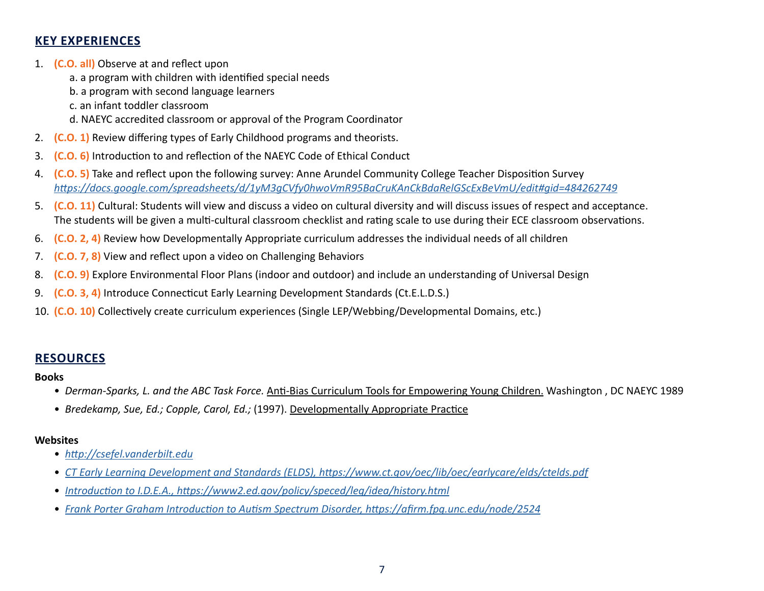## **KEY EXPERIENCES**

- 1. **(C.O. all)** Observe at and reflect upon
	- a. a program with children with identified special needs
	- b. a program with second language learners
	- c. an infant toddler classroom
	- d. NAEYC accredited classroom or approval of the Program Coordinator
- 2. **(C.O. 1)** Review differing types of Early Childhood programs and theorists.
- 3. **(C.O. 6)** Introduction to and reflection of the NAEYC Code of Ethical Conduct
- 4. **(C.O. 5)** Take and reflect upon the following survey: Anne Arundel Community College Teacher Disposition Survey *[https://docs.google.com/spreadsheets/d/1yM3gCVfy0hwoVmR95BaCruKAnCkBdaRelGScExBeVmU/edit#gid=484262749](https://docs.google.com/spreadsheets/d/1yM3gCVfy0hwoVmR95BaCruKAnCkBdaRelGScExBeVmU/edit#gid=365590144)*
- 5. **(C.O. 11)** Cultural: Students will view and discuss a video on cultural diversity and will discuss issues of respect and acceptance. The students will be given a multi-cultural classroom checklist and rating scale to use during their ECE classroom observations.
- 6. **(C.O. 2, 4)** Review how Developmentally Appropriate curriculum addresses the individual needs of all children
- 7. **(C.O. 7, 8)** View and reflect upon a video on Challenging Behaviors
- 8. **(C.O. 9)** Explore Environmental Floor Plans (indoor and outdoor) and include an understanding of Universal Design
- 9. **(C.O. 3, 4)** Introduce Connecticut Early Learning Development Standards (Ct.E.L.D.S.)
- 10. **(C.O. 10)** Collectively create curriculum experiences (Single LEP/Webbing/Developmental Domains, etc.)

## **RESOURCES**

#### **Books**

- *Derman-Sparks, L. and the ABC Task Force.* Anti-Bias Curriculum Tools for Empowering Young Children. Washington , DC NAEYC 1989
- *Bredekamp, Sue, Ed.; Copple, Carol, Ed.;* (1997). Developmentally Appropriate Practice

#### **Websites**

- *[http://csefel.vanderbilt.ed](http://csefel.vanderbilt.edu)u*
- *[CT Early Learning Development and Standards \(ELDS\), https://www.ct.gov/oec/lib/oec/earlycare/elds/ctelds.pdf](https://www.ct.gov/oec/lib/oec/earlycare/elds/ctelds.pdf)*
- *[Introduction to I.D.E.A., https://www2.ed.gov/policy/speced/leg/idea/history.html](https://portal.ct.gov/oec)*
- *[Frank Porter Graham Introduction to Autism Spectrum Disorder, https://afirm.fpg.unc.edu/node/2524](https://afirm.fpg.unc.edu/node/2524)*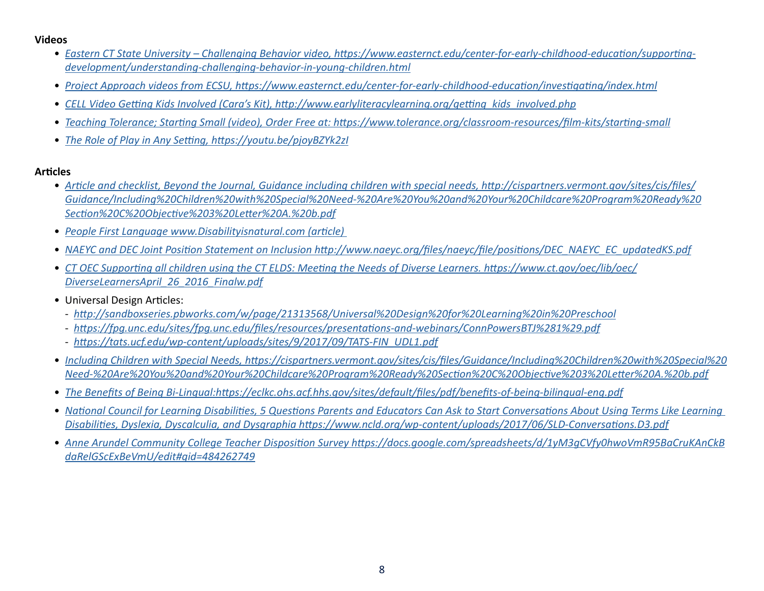#### **Videos**

- *[Eastern CT State University Challenging Behavior video, https://www.easternct.edu/center-for-early-childhood-education/supporting](https://www.easternct.edu/center-for-early-childhood-education/supporting-development/understanding-challenging-behavior-in-young-children.html)[development/understanding-challenging-behavior-in-young-children.html](https://www.easternct.edu/center-for-early-childhood-education/supporting-development/understanding-challenging-behavior-in-young-children.html)*
- *[Project Approach videos from ECSU, https://www.easternct.edu/center-for-early-childhood-education/investigating/index.html](https://www.easternct.edu/center-for-early-childhood-education/investigating/index.html)*
- *[CELL Video Getting Kids Involved \(Cara's Kit\), http://www.earlyliteracylearning.org/getting\\_kids\\_involved.php](http://www.earlyliteracylearning.org/getting_kids_involved.php)*
- *[Teaching Tolerance; Starting Small \(video\), Order Free at: https://www.tolerance.org/classroom-resources/film-kits/starting-small](https://www.learningforjustice.org/classroom-resources/film-kits/starting-small)*
- *[The Role of Play in Any Setting, https://youtu.be/pjoyBZYk2zI](https://www.youtube.com/watch?v=pjoyBZYk2zI)*

#### **Articles**

- *[Article and checklist, Beyond the Journal, Guidance including children with special needs, http://cispartners.vermont.gov/sites/cis/files/](https://cispartners.vermont.gov/sites/cis/files/Guidance/Including%20Children%20with%20Special%20Need-%20Are%20You%20and%20Your%20Childcare%20Program%20Ready%20Section%20C%20Objective%203%20Letter%20A.%20b.pdf) [Guidance/Including%20Children%20with%20Special%20Need-%20Are%20You%20and%20Your%20Childcare%20Program%20Ready%20](https://cispartners.vermont.gov/sites/cis/files/Guidance/Including%20Children%20with%20Special%20Need-%20Are%20You%20and%20Your%20Childcare%20Program%20Ready%20Section%20C%20Objective%203%20Letter%20A.%20b.pdf) [Section%20C%20Objective%203%20Letter%20A.%20b.pdf](https://cispartners.vermont.gov/sites/cis/files/Guidance/Including%20Children%20with%20Special%20Need-%20Are%20You%20and%20Your%20Childcare%20Program%20Ready%20Section%20C%20Objective%203%20Letter%20A.%20b.pdf)*
- *[People First Language www.Disabilityisnatural.com \(article\)](https://www.disabilityisnatural.com)*
- *[NAEYC and DEC Joint Position Statement on Inclusion http://www.naeyc.org/files/naeyc/file/positions/DEC\\_NAEYC\\_EC\\_updatedKS.pdf](https://www.naeyc.org/sites/default/files/globally-shared/downloads/PDFs/resources/position-statements/ps_inclusion_dec_naeyc_ec.pdf)*
- *[CT OEC Supporting all children using the CT ELDS: Meeting the Needs of Diverse Learners. https://www.ct.gov/oec/lib/oec/](https://portal.ct.gov/oec) [DiverseLearnersApril\\_26\\_2016\\_Finalw.pdf](https://portal.ct.gov/oec)*
- Universal Design Articles:
	- *<http://sandboxseries.pbworks.com/w/page/21313568/Universal%20Design%20for%20Learning%20in%20Preschool>*
	- *<https://fpg.unc.edu/sites/fpg.unc.edu/files/resources/presentations-and-webinars/ConnPowersBTJ%281%29.pdf>*
	- *[https://tats.ucf.edu/wp-content/uploads/sites/9/2017/09/TATS-FIN\\_UDL1.pdf](https://tats.ucf.edu/wp-content/uploads/sites/32/2017/09/TATS-FIN_UDL1.pdf)*
- *[Including Children with Special Needs, https://cispartners.vermont.gov/sites/cis/files/Guidance/Including%20Children%20with%20Special%20](https://cispartners.vermont.gov/sites/cis/files/Guidance/Including%20Children%20with%20Special%20Need-%20Are%20You%20and%20Your%20Childcare%20Program%20Ready%20Section%20C%20Objective%203%20Letter%20A.%20b.pdf) [Need-%20Are%20You%20and%20Your%20Childcare%20Program%20Ready%20Section%20C%20Objective%203%20Letter%20A.%20b.pdf](https://cispartners.vermont.gov/sites/cis/files/Guidance/Including%20Children%20with%20Special%20Need-%20Are%20You%20and%20Your%20Childcare%20Program%20Ready%20Section%20C%20Objective%203%20Letter%20A.%20b.pdf)*
- *[The Benefits of Being Bi-Lingual:https://eclkc.ohs.acf.hhs.gov/sites/default/files/pdf/benefits-of-being-bilingual-eng.pdf](https://eclkc.ohs.acf.hhs.gov/sites/default/files/pdf/benefits-of-being-bilingual-eng.pdf)*
- *[National Council for Learning Disabilities, 5 Questions Parents and Educators Can Ask to Start Conversations About Using Terms Like Learning](https://www.ncld.org/wp-content/uploads/2017/06/SLD-Conversations.D3.pdf)  [Disabilities, Dyslexia, Dyscalculia, and Dysgraphia https://www.ncld.org/wp-content/uploads/2017/06/SLD-Conversations.D3.pdf](https://www.ncld.org/wp-content/uploads/2017/06/SLD-Conversations.D3.pdf)*
- *[Anne Arundel Community College Teacher Disposition Survey https://docs.google.com/spreadsheets/d/1yM3gCVfy0hwoVmR95BaCruKAnCkB](https://docs.google.com/spreadsheets/d/1yM3gCVfy0hwoVmR95BaCruKAnCkBdaRelGScExBeVmU/edit#gid=365590144) [daRelGScExBeVmU/edit#gid=484262749](https://docs.google.com/spreadsheets/d/1yM3gCVfy0hwoVmR95BaCruKAnCkBdaRelGScExBeVmU/edit#gid=365590144)*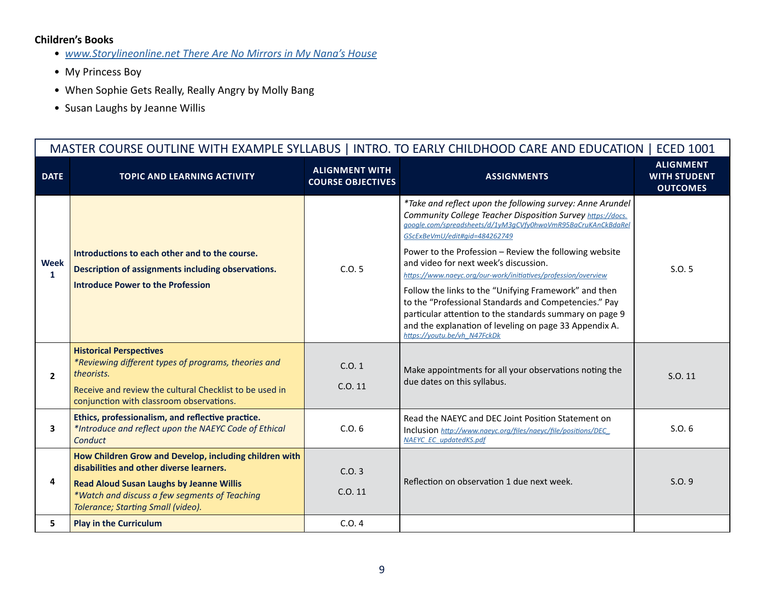#### **Children's Books**

- *[www.Storylineonline.net There Are No Mirrors in My Nana's House](https://storylineonline.net)*
- My Princess Boy
- When Sophie Gets Really, Really Angry by Molly Bang
- Susan Laughs by Jeanne Willis

|                             | MASTER COURSE OUTLINE WITH EXAMPLE SYLLABUS   INTRO. TO EARLY CHILDHOOD CARE AND EDUCATION   ECED 1001                                                                                                                                       |                                                   |                                                                                                                                                                                                                                                                                                                                                                                                                                                                                                                                                                                                                                                                      |                                                            |  |  |
|-----------------------------|----------------------------------------------------------------------------------------------------------------------------------------------------------------------------------------------------------------------------------------------|---------------------------------------------------|----------------------------------------------------------------------------------------------------------------------------------------------------------------------------------------------------------------------------------------------------------------------------------------------------------------------------------------------------------------------------------------------------------------------------------------------------------------------------------------------------------------------------------------------------------------------------------------------------------------------------------------------------------------------|------------------------------------------------------------|--|--|
| <b>DATE</b>                 | <b>TOPIC AND LEARNING ACTIVITY</b>                                                                                                                                                                                                           | <b>ALIGNMENT WITH</b><br><b>COURSE OBJECTIVES</b> | <b>ASSIGNMENTS</b>                                                                                                                                                                                                                                                                                                                                                                                                                                                                                                                                                                                                                                                   | <b>ALIGNMENT</b><br><b>WITH STUDENT</b><br><b>OUTCOMES</b> |  |  |
| <b>Week</b><br>$\mathbf{1}$ | Introductions to each other and to the course.<br>Description of assignments including observations.<br><b>Introduce Power to the Profession</b>                                                                                             | C.0.5                                             | *Take and reflect upon the following survey: Anne Arundel<br>Community College Teacher Disposition Survey https://docs.<br>google.com/spreadsheets/d/1yM3qCVfy0hwoVmR95BaCruKAnCkBdaRel<br>GScExBeVmU/edit#gid=484262749<br>Power to the Profession - Review the following website<br>and video for next week's discussion.<br>https://www.naeyc.org/our-work/initiatives/profession/overview<br>Follow the links to the "Unifying Framework" and then<br>to the "Professional Standards and Competencies." Pay<br>particular attention to the standards summary on page 9<br>and the explanation of leveling on page 33 Appendix A.<br>https://youtu.be/vh N47FckDk | S.0.5                                                      |  |  |
| $\mathbf{2}$                | <b>Historical Perspectives</b><br>*Reviewing different types of programs, theories and<br>theorists.<br>Receive and review the cultural Checklist to be used in<br>conjunction with classroom observations.                                  | C.0.1<br>C.0.11                                   | Make appointments for all your observations noting the<br>due dates on this syllabus.                                                                                                                                                                                                                                                                                                                                                                                                                                                                                                                                                                                | S.O. 11                                                    |  |  |
| 3                           | Ethics, professionalism, and reflective practice.<br>*Introduce and reflect upon the NAEYC Code of Ethical<br>Conduct                                                                                                                        | C.0.6                                             | Read the NAEYC and DEC Joint Position Statement on<br>Inclusion http://www.naeyc.org/files/naeyc/file/positions/DEC<br>NAEYC EC updatedKS.pdf                                                                                                                                                                                                                                                                                                                                                                                                                                                                                                                        | S.O.6                                                      |  |  |
| 4                           | How Children Grow and Develop, including children with<br>disabilities and other diverse learners.<br><b>Read Aloud Susan Laughs by Jeanne Willis</b><br>*Watch and discuss a few segments of Teaching<br>Tolerance; Starting Small (video). | C.0.3<br>C.0.11                                   | Reflection on observation 1 due next week.                                                                                                                                                                                                                                                                                                                                                                                                                                                                                                                                                                                                                           | S.0.9                                                      |  |  |
| 5.                          | <b>Play in the Curriculum</b>                                                                                                                                                                                                                | C.0.4                                             |                                                                                                                                                                                                                                                                                                                                                                                                                                                                                                                                                                                                                                                                      |                                                            |  |  |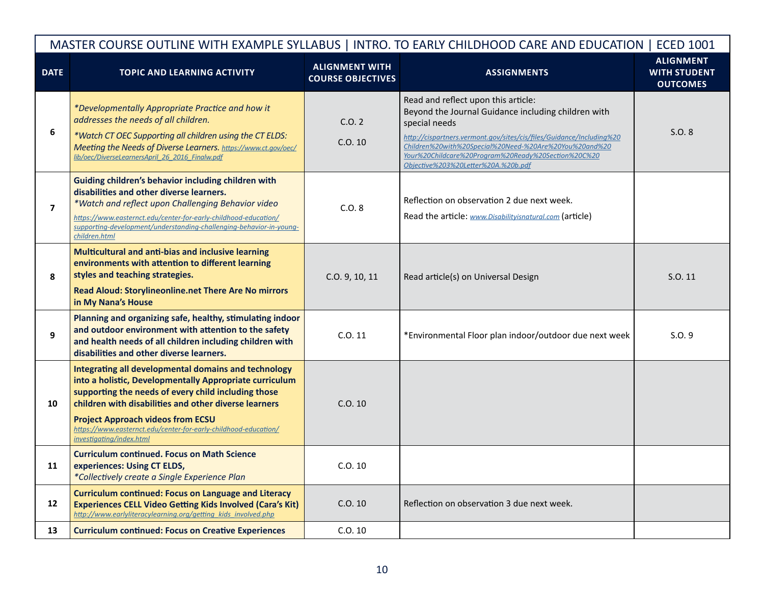| MASTER COURSE OUTLINE WITH EXAMPLE SYLLABUS   INTRO. TO EARLY CHILDHOOD CARE AND EDUCATION   ECED 1001 |                                                                                                                                                                                                                                                                                                                                                                            |                                                   |                                                                                                                                                                                                                                                                                                                                             |                                                            |
|--------------------------------------------------------------------------------------------------------|----------------------------------------------------------------------------------------------------------------------------------------------------------------------------------------------------------------------------------------------------------------------------------------------------------------------------------------------------------------------------|---------------------------------------------------|---------------------------------------------------------------------------------------------------------------------------------------------------------------------------------------------------------------------------------------------------------------------------------------------------------------------------------------------|------------------------------------------------------------|
| <b>DATE</b>                                                                                            | <b>TOPIC AND LEARNING ACTIVITY</b>                                                                                                                                                                                                                                                                                                                                         | <b>ALIGNMENT WITH</b><br><b>COURSE OBJECTIVES</b> | <b>ASSIGNMENTS</b>                                                                                                                                                                                                                                                                                                                          | <b>ALIGNMENT</b><br><b>WITH STUDENT</b><br><b>OUTCOMES</b> |
| 6                                                                                                      | *Developmentally Appropriate Practice and how it<br>addresses the needs of all children.<br>*Watch CT OEC Supporting all children using the CT ELDS:<br>Meeting the Needs of Diverse Learners. https://www.ct.gov/oec/<br>lib/oec/DiverseLearnersApril 26 2016 Finalw.pdf                                                                                                  | C.0.2<br>C.0.10                                   | Read and reflect upon this article:<br>Beyond the Journal Guidance including children with<br>special needs<br>http://cispartners.vermont.gov/sites/cis/files/Guidance/Including%20<br>Children%20with%20Special%20Need-%20Are%20You%20and%20<br>Your%20Childcare%20Program%20Ready%20Section%20C%20<br>Objective%203%20Letter%20A.%20b.pdf | S.O. 8                                                     |
| $\overline{7}$                                                                                         | Guiding children's behavior including children with<br>disabilities and other diverse learners.<br>*Watch and reflect upon Challenging Behavior video<br>https://www.easternct.edu/center-for-early-childhood-education/<br>supporting-development/understanding-challenging-behavior-in-young-<br>children.html                                                           | C.0.8                                             | Reflection on observation 2 due next week.<br>Read the article: www.Disabilityisnatural.com (article)                                                                                                                                                                                                                                       |                                                            |
| 8                                                                                                      | Multicultural and anti-bias and inclusive learning<br>environments with attention to different learning<br>styles and teaching strategies.<br>Read Aloud: Storylineonline.net There Are No mirrors<br>in My Nana's House                                                                                                                                                   | C.O. 9, 10, 11                                    | Read article(s) on Universal Design                                                                                                                                                                                                                                                                                                         | S.O. 11                                                    |
| 9                                                                                                      | Planning and organizing safe, healthy, stimulating indoor<br>and outdoor environment with attention to the safety<br>and health needs of all children including children with<br>disabilities and other diverse learners.                                                                                                                                                  | C.0.11                                            | *Environmental Floor plan indoor/outdoor due next week                                                                                                                                                                                                                                                                                      | S.0.9                                                      |
| 10                                                                                                     | Integrating all developmental domains and technology<br>into a holistic, Developmentally Appropriate curriculum<br>supporting the needs of every child including those<br>children with disabilities and other diverse learners<br><b>Project Approach videos from ECSU</b><br>https://www.easternct.edu/center-for-early-childhood-education/<br>investigating/index.html | C.0.10                                            |                                                                                                                                                                                                                                                                                                                                             |                                                            |
| 11                                                                                                     | <b>Curriculum continued. Focus on Math Science</b><br>experiences: Using CT ELDS,<br>*Collectively create a Single Experience Plan                                                                                                                                                                                                                                         | C.0.10                                            |                                                                                                                                                                                                                                                                                                                                             |                                                            |
| 12                                                                                                     | <b>Curriculum continued: Focus on Language and Literacy</b><br><b>Experiences CELL Video Getting Kids Involved (Cara's Kit)</b><br>http://www.earlyliteracylearning.org/getting kids involved.php                                                                                                                                                                          | C.0.10                                            | Reflection on observation 3 due next week.                                                                                                                                                                                                                                                                                                  |                                                            |
| 13                                                                                                     | <b>Curriculum continued: Focus on Creative Experiences</b>                                                                                                                                                                                                                                                                                                                 | C.0.10                                            |                                                                                                                                                                                                                                                                                                                                             |                                                            |